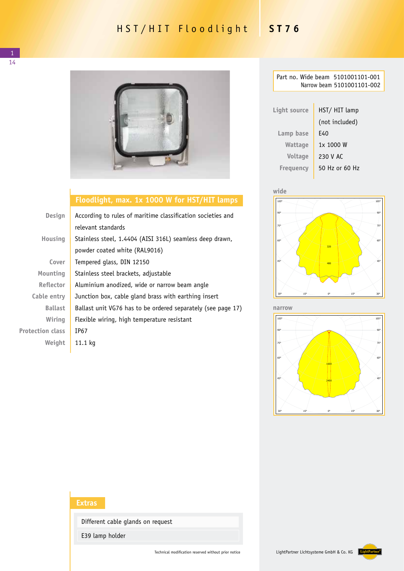## HST/HIT Floodlight **ST76**

14



## **Floodlight, max. 1x 1000 W for HST/HIT lamps**

| <b>Design</b>           | According to rules of maritime classification societies and<br>relevant standards         |  |
|-------------------------|-------------------------------------------------------------------------------------------|--|
| Housing                 | Stainless steel, 1.4404 (AISI 316L) seamless deep drawn,<br>powder coated white (RAL9016) |  |
| Cover                   | Tempered glass, DIN 12150                                                                 |  |
| Mounting                | Stainless steel brackets, adjustable                                                      |  |
| <b>Reflector</b>        | Aluminium anodized, wide or narrow beam angle                                             |  |
| Cable entry             | Junction box, cable gland brass with earthing insert                                      |  |
| <b>Ballast</b>          | Ballast unit VG76 has to be ordered separately (see page 17)                              |  |
| Wiring                  | Flexible wiring, high temperature resistant                                               |  |
| <b>Protection class</b> | IP67                                                                                      |  |
| Weight                  | 11.1 kg                                                                                   |  |

| Part no. Wide beam 5101001101-001<br>Narrow beam 5101001101-002 |                |  |  |
|-----------------------------------------------------------------|----------------|--|--|
|                                                                 |                |  |  |
| Light source                                                    | HST/ HIT lamp  |  |  |
|                                                                 | (not included) |  |  |
| Lamp base                                                       | F40            |  |  |
| Wattage                                                         | 1x 1000 W      |  |  |
| <b>Voltage</b>                                                  | 230 V AC       |  |  |
| Freguency                                                       | 50 Hz or 60 Hz |  |  |
|                                                                 |                |  |  |



Luminaire: Jordan Reflektoren LP1-320 ST 76 1000W HPS narrow Lamps: 1 x NAV 1000W **narrow**



cd/klm 90% (and the second control of the second control of the second control of the second control of the

## **Extras**

Different cable glands on request

E39 lamp holder